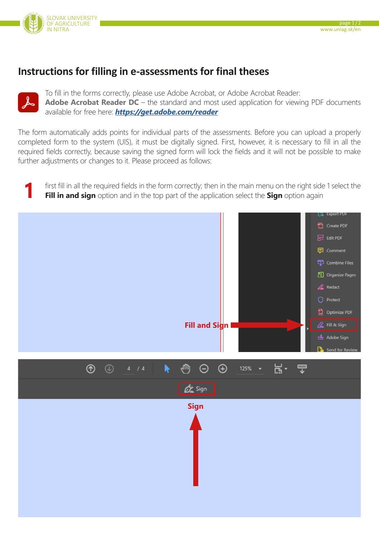

## **Instructions for filling in e-assessments for final theses**



To fill in the forms correctly, please use Adobe Acrobat, or Adobe Acrobat Reader: **Adobe Acrobat Reader DC** – the standard and most used application for viewing PDF documents available for free here: *<https://get.adobe.com/reader>*

The form automatically adds points for individual parts of the assessments. Before you can upload a properly completed form to the system (UIS), it must be digitally signed. First, however, it is necessary to fill in all the required fields correctly, because saving the signed form will lock the fields and it will not be possible to make further adjustments or changes to it. Please proceed as follows:

first fill in all the required fields in the form correctly; then in the main menu on the right side 1 select the **Fill in and sign** option and in the top part of the application select the **Sign** option again